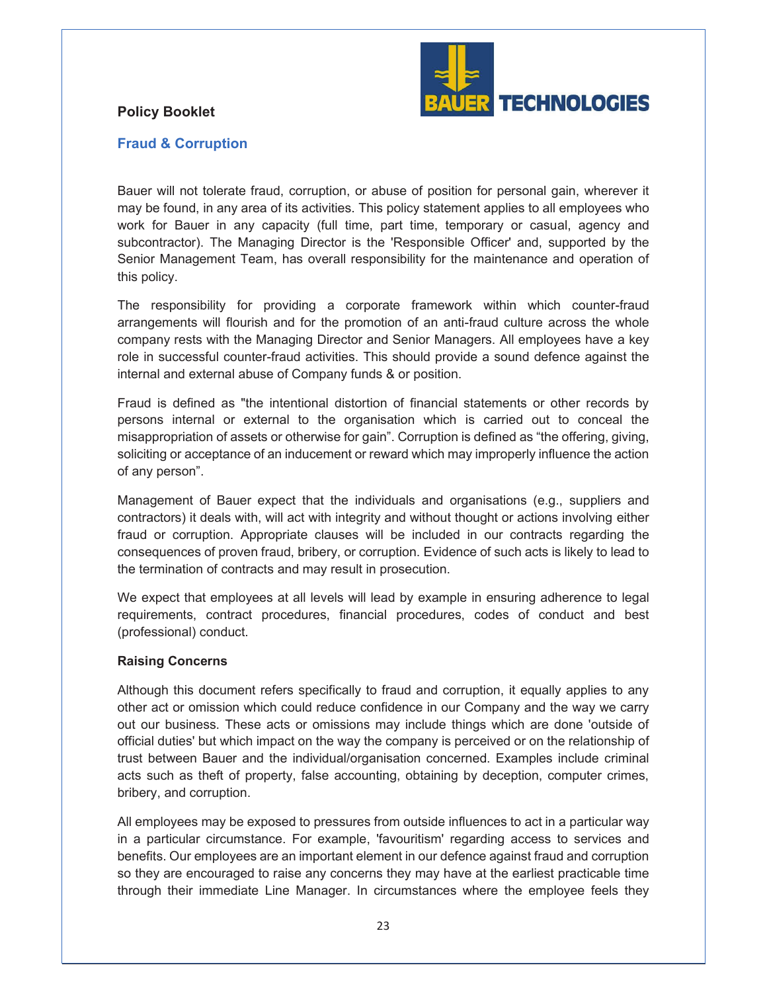## **Policy Booklet**



## **Fraud & Corruption**

Bauer will not tolerate fraud, corruption, or abuse of position for personal gain, wherever it may be found, in any area of its activities. This policy statement applies to all employees who work for Bauer in any capacity (full time, part time, temporary or casual, agency and subcontractor). The Managing Director is the 'Responsible Officer' and, supported by the Senior Management Team, has overall responsibility for the maintenance and operation of this policy.

The responsibility for providing a corporate framework within which counter-fraud arrangements will flourish and for the promotion of an anti-fraud culture across the whole company rests with the Managing Director and Senior Managers. All employees have a key role in successful counter-fraud activities. This should provide a sound defence against the internal and external abuse of Company funds & or position.

Fraud is defined as "the intentional distortion of financial statements or other records by persons internal or external to the organisation which is carried out to conceal the misappropriation of assets or otherwise for gain". Corruption is defined as "the offering, giving, soliciting or acceptance of an inducement or reward which may improperly influence the action of any person".

Management of Bauer expect that the individuals and organisations (e.g., suppliers and contractors) it deals with, will act with integrity and without thought or actions involving either fraud or corruption. Appropriate clauses will be included in our contracts regarding the consequences of proven fraud, bribery, or corruption. Evidence of such acts is likely to lead to the termination of contracts and may result in prosecution.

We expect that employees at all levels will lead by example in ensuring adherence to legal requirements, contract procedures, financial procedures, codes of conduct and best (professional) conduct.

## **Raising Concerns**

Although this document refers specifically to fraud and corruption, it equally applies to any other act or omission which could reduce confidence in our Company and the way we carry out our business. These acts or omissions may include things which are done 'outside of official duties' but which impact on the way the company is perceived or on the relationship of trust between Bauer and the individual/organisation concerned. Examples include criminal acts such as theft of property, false accounting, obtaining by deception, computer crimes, bribery, and corruption.

All employees may be exposed to pressures from outside influences to act in a particular way in a particular circumstance. For example, 'favouritism' regarding access to services and benefits. Our employees are an important element in our defence against fraud and corruption so they are encouraged to raise any concerns they may have at the earliest practicable time through their immediate Line Manager. In circumstances where the employee feels they